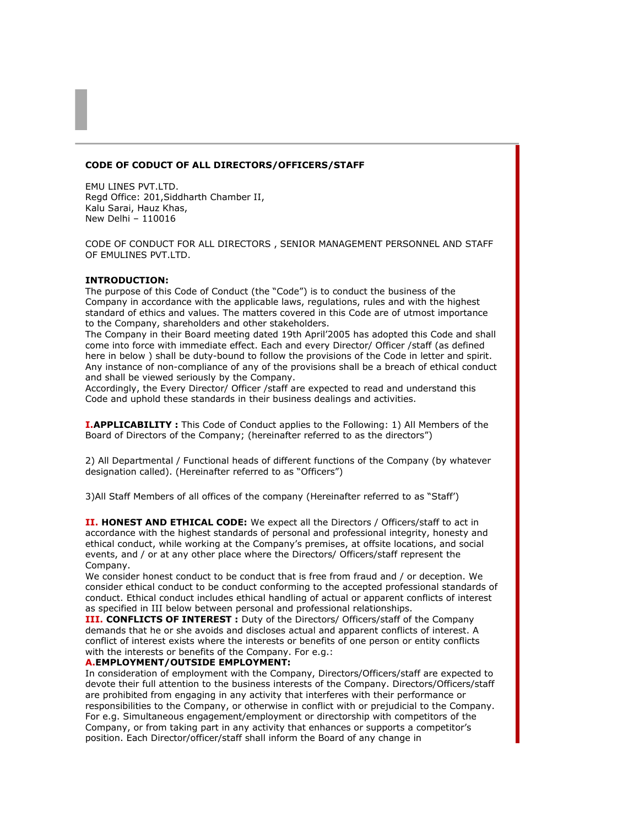# **CODE OF CODUCT OF ALL DIRECTORS/OFFICERS/STAFF**

EMU LINES PVT.LTD. Regd Office: 201,Siddharth Chamber II, Kalu Sarai, Hauz Khas, New Delhi – 110016

CODE OF CONDUCT FOR ALL DIRECTORS , SENIOR MANAGEMENT PERSONNEL AND STAFF OF EMULINES PVT.LTD.

# **INTRODUCTION:**

The purpose of this Code of Conduct (the "Code") is to conduct the business of the Company in accordance with the applicable laws, regulations, rules and with the highest standard of ethics and values. The matters covered in this Code are of utmost importance to the Company, shareholders and other stakeholders.

The Company in their Board meeting dated 19th April'2005 has adopted this Code and shall come into force with immediate effect. Each and every Director/ Officer /staff (as defined here in below ) shall be duty-bound to follow the provisions of the Code in letter and spirit. Any instance of non-compliance of any of the provisions shall be a breach of ethical conduct and shall be viewed seriously by the Company.

Accordingly, the Every Director/ Officer /staff are expected to read and understand this Code and uphold these standards in their business dealings and activities.

**I.APPLICABILITY :** This Code of Conduct applies to the Following: 1) All Members of the Board of Directors of the Company; (hereinafter referred to as the directors")

2) All Departmental / Functional heads of different functions of the Company (by whatever designation called). (Hereinafter referred to as "Officers")

3)All Staff Members of all offices of the company (Hereinafter referred to as "Staff')

**II. HONEST AND ETHICAL CODE:** We expect all the Directors / Officers/staff to act in accordance with the highest standards of personal and professional integrity, honesty and ethical conduct, while working at the Company's premises, at offsite locations, and social events, and / or at any other place where the Directors/ Officers/staff represent the Company.

We consider honest conduct to be conduct that is free from fraud and / or deception. We consider ethical conduct to be conduct conforming to the accepted professional standards of conduct. Ethical conduct includes ethical handling of actual or apparent conflicts of interest as specified in III below between personal and professional relationships.

**III. CONFLICTS OF INTEREST :** Duty of the Directors/ Officers/staff of the Company demands that he or she avoids and discloses actual and apparent conflicts of interest. A conflict of interest exists where the interests or benefits of one person or entity conflicts with the interests or benefits of the Company. For e.g.:

# **A.EMPLOYMENT/OUTSIDE EMPLOYMENT:**

In consideration of employment with the Company, Directors/Officers/staff are expected to devote their full attention to the business interests of the Company. Directors/Officers/staff are prohibited from engaging in any activity that interferes with their performance or responsibilities to the Company, or otherwise in conflict with or prejudicial to the Company. For e.g. Simultaneous engagement/employment or directorship with competitors of the Company, or from taking part in any activity that enhances or supports a competitor's position. Each Director/officer/staff shall inform the Board of any change in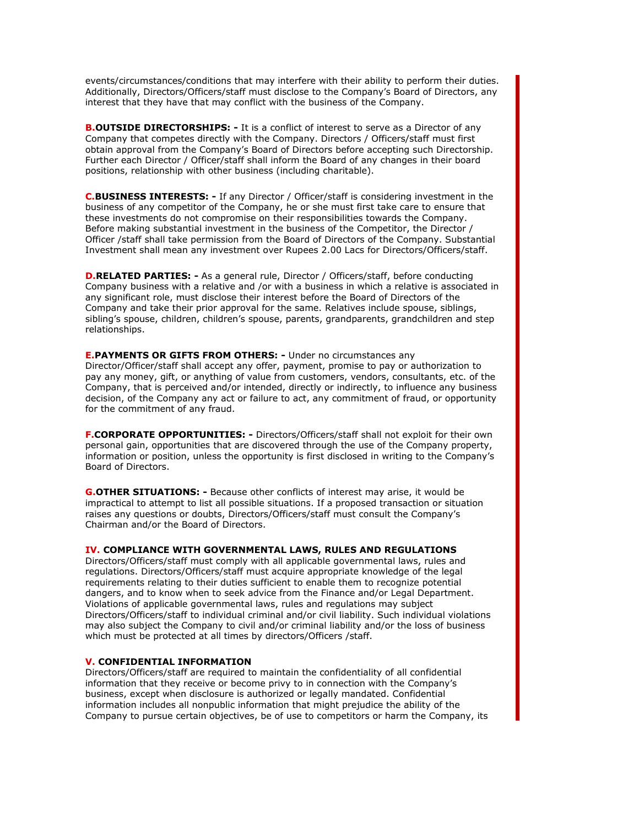events/circumstances/conditions that may interfere with their ability to perform their duties. Additionally, Directors/Officers/staff must disclose to the Company's Board of Directors, any interest that they have that may conflict with the business of the Company.

**B.OUTSIDE DIRECTORSHIPS: -** It is a conflict of interest to serve as a Director of any Company that competes directly with the Company. Directors / Officers/staff must first obtain approval from the Company's Board of Directors before accepting such Directorship. Further each Director / Officer/staff shall inform the Board of any changes in their board positions, relationship with other business (including charitable).

**C.BUSINESS INTERESTS: -** If any Director / Officer/staff is considering investment in the business of any competitor of the Company, he or she must first take care to ensure that these investments do not compromise on their responsibilities towards the Company. Before making substantial investment in the business of the Competitor, the Director / Officer /staff shall take permission from the Board of Directors of the Company. Substantial Investment shall mean any investment over Rupees 2.00 Lacs for Directors/Officers/staff.

**D.RELATED PARTIES: -** As a general rule, Director / Officers/staff, before conducting Company business with a relative and /or with a business in which a relative is associated in any significant role, must disclose their interest before the Board of Directors of the Company and take their prior approval for the same. Relatives include spouse, siblings, sibling's spouse, children, children's spouse, parents, grandparents, grandchildren and step relationships.

**E.PAYMENTS OR GIFTS FROM OTHERS: -** Under no circumstances any Director/Officer/staff shall accept any offer, payment, promise to pay or authorization to pay any money, gift, or anything of value from customers, vendors, consultants, etc. of the Company, that is perceived and/or intended, directly or indirectly, to influence any business decision, of the Company any act or failure to act, any commitment of fraud, or opportunity for the commitment of any fraud.

**F.CORPORATE OPPORTUNITIES: -** Directors/Officers/staff shall not exploit for their own personal gain, opportunities that are discovered through the use of the Company property, information or position, unless the opportunity is first disclosed in writing to the Company's Board of Directors.

**G.OTHER SITUATIONS: -** Because other conflicts of interest may arise, it would be impractical to attempt to list all possible situations. If a proposed transaction or situation raises any questions or doubts, Directors/Officers/staff must consult the Company's Chairman and/or the Board of Directors.

#### **IV. COMPLIANCE WITH GOVERNMENTAL LAWS, RULES AND REGULATIONS**

Directors/Officers/staff must comply with all applicable governmental laws, rules and regulations. Directors/Officers/staff must acquire appropriate knowledge of the legal requirements relating to their duties sufficient to enable them to recognize potential dangers, and to know when to seek advice from the Finance and/or Legal Department. Violations of applicable governmental laws, rules and regulations may subject Directors/Officers/staff to individual criminal and/or civil liability. Such individual violations may also subject the Company to civil and/or criminal liability and/or the loss of business which must be protected at all times by directors/Officers /staff.

# **V. CONFIDENTIAL INFORMATION**

Directors/Officers/staff are required to maintain the confidentiality of all confidential information that they receive or become privy to in connection with the Company's business, except when disclosure is authorized or legally mandated. Confidential information includes all nonpublic information that might prejudice the ability of the Company to pursue certain objectives, be of use to competitors or harm the Company, its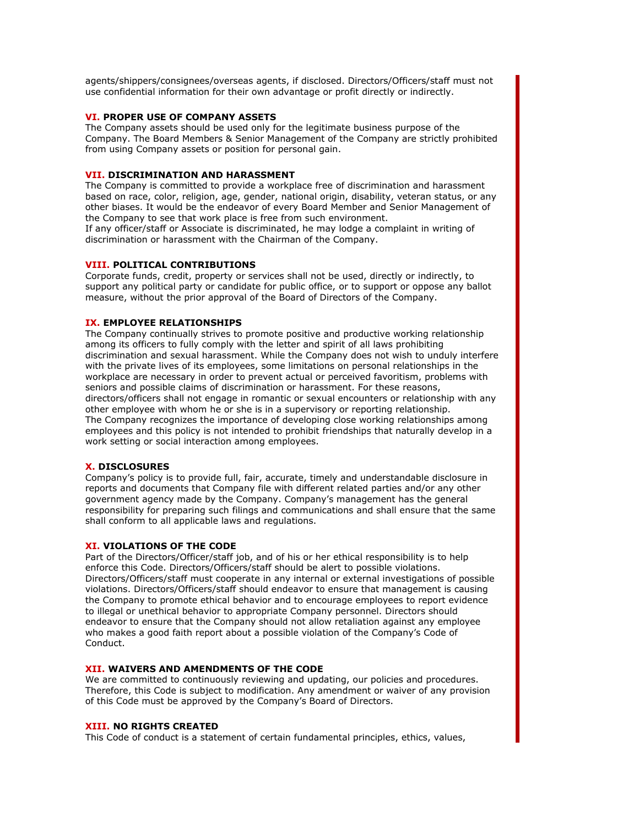agents/shippers/consignees/overseas agents, if disclosed. Directors/Officers/staff must not use confidential information for their own advantage or profit directly or indirectly.

# **VI. PROPER USE OF COMPANY ASSETS**

The Company assets should be used only for the legitimate business purpose of the Company. The Board Members & Senior Management of the Company are strictly prohibited from using Company assets or position for personal gain.

### **VII. DISCRIMINATION AND HARASSMENT**

The Company is committed to provide a workplace free of discrimination and harassment based on race, color, religion, age, gender, national origin, disability, veteran status, or any other biases. It would be the endeavor of every Board Member and Senior Management of the Company to see that work place is free from such environment.

If any officer/staff or Associate is discriminated, he may lodge a complaint in writing of discrimination or harassment with the Chairman of the Company.

### **VIII. POLITICAL CONTRIBUTIONS**

Corporate funds, credit, property or services shall not be used, directly or indirectly, to support any political party or candidate for public office, or to support or oppose any ballot measure, without the prior approval of the Board of Directors of the Company.

### **IX. EMPLOYEE RELATIONSHIPS**

The Company continually strives to promote positive and productive working relationship among its officers to fully comply with the letter and spirit of all laws prohibiting discrimination and sexual harassment. While the Company does not wish to unduly interfere with the private lives of its employees, some limitations on personal relationships in the workplace are necessary in order to prevent actual or perceived favoritism, problems with seniors and possible claims of discrimination or harassment. For these reasons, directors/officers shall not engage in romantic or sexual encounters or relationship with any other employee with whom he or she is in a supervisory or reporting relationship. The Company recognizes the importance of developing close working relationships among employees and this policy is not intended to prohibit friendships that naturally develop in a work setting or social interaction among employees.

# **X. DISCLOSURES**

Company's policy is to provide full, fair, accurate, timely and understandable disclosure in reports and documents that Company file with different related parties and/or any other government agency made by the Company. Company's management has the general responsibility for preparing such filings and communications and shall ensure that the same shall conform to all applicable laws and regulations.

# **XI. VIOLATIONS OF THE CODE**

Part of the Directors/Officer/staff job, and of his or her ethical responsibility is to help enforce this Code. Directors/Officers/staff should be alert to possible violations. Directors/Officers/staff must cooperate in any internal or external investigations of possible violations. Directors/Officers/staff should endeavor to ensure that management is causing the Company to promote ethical behavior and to encourage employees to report evidence to illegal or unethical behavior to appropriate Company personnel. Directors should endeavor to ensure that the Company should not allow retaliation against any employee who makes a good faith report about a possible violation of the Company's Code of Conduct.

# **XII. WAIVERS AND AMENDMENTS OF THE CODE**

We are committed to continuously reviewing and updating, our policies and procedures. Therefore, this Code is subject to modification. Any amendment or waiver of any provision of this Code must be approved by the Company's Board of Directors.

### **XIII. NO RIGHTS CREATED**

This Code of conduct is a statement of certain fundamental principles, ethics, values,